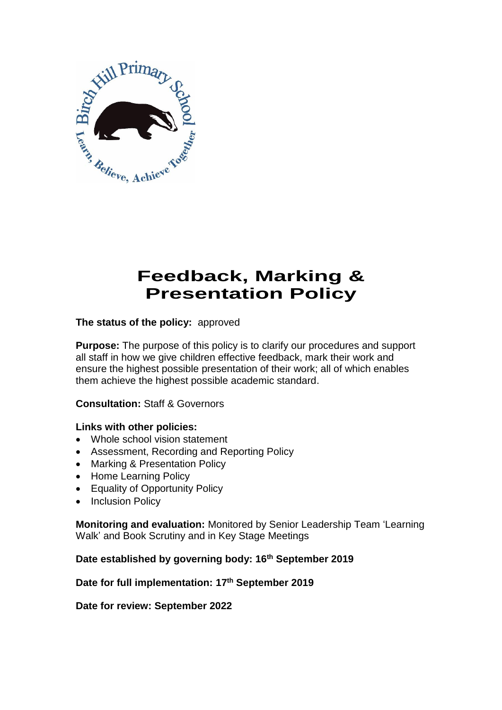

# **Feedback, Marking & Presentation Policy**

**The status of the policy:** approved

**Purpose:** The purpose of this policy is to clarify our procedures and support all staff in how we give children effective feedback, mark their work and ensure the highest possible presentation of their work; all of which enables them achieve the highest possible academic standard.

## **Consultation:** Staff & Governors

#### **Links with other policies:**

- Whole school vision statement
- Assessment, Recording and Reporting Policy
- Marking & Presentation Policy
- Home Learning Policy
- Equality of Opportunity Policy
- Inclusion Policy

**Monitoring and evaluation:** Monitored by Senior Leadership Team 'Learning Walk' and Book Scrutiny and in Key Stage Meetings

**Date established by governing body: 16th September 2019**

#### **Date for full implementation: 17th September 2019**

**Date for review: September 2022**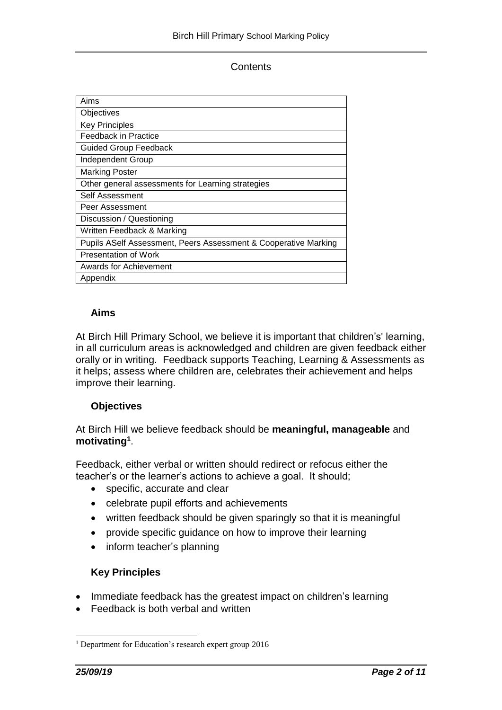**Contents** 

| Aims                                                            |
|-----------------------------------------------------------------|
| Objectives                                                      |
| <b>Key Principles</b>                                           |
| Feedback in Practice                                            |
| <b>Guided Group Feedback</b>                                    |
| <b>Independent Group</b>                                        |
| <b>Marking Poster</b>                                           |
| Other general assessments for Learning strategies               |
| Self Assessment                                                 |
| Peer Assessment                                                 |
| Discussion / Questioning                                        |
| Written Feedback & Marking                                      |
| Pupils ASelf Assessment, Peers Assessment & Cooperative Marking |
| Presentation of Work                                            |
| Awards for Achievement                                          |
| Appendix                                                        |

## **Aims**

At Birch Hill Primary School, we believe it is important that children's' learning, in all curriculum areas is acknowledged and children are given feedback either orally or in writing. Feedback supports Teaching, Learning & Assessments as it helps; assess where children are, celebrates their achievement and helps improve their learning.

#### **Objectives**

At Birch Hill we believe feedback should be **meaningful, manageable** and **motivating<sup>1</sup>** .

Feedback, either verbal or written should redirect or refocus either the teacher's or the learner's actions to achieve a goal. It should;

- specific, accurate and clear
- celebrate pupil efforts and achievements
- written feedback should be given sparingly so that it is meaningful
- provide specific guidance on how to improve their learning
- inform teacher's planning

## **Key Principles**

- Immediate feedback has the greatest impact on children's learning
- Feedback is both verbal and written

l

<sup>&</sup>lt;sup>1</sup> Department for Education's research expert group 2016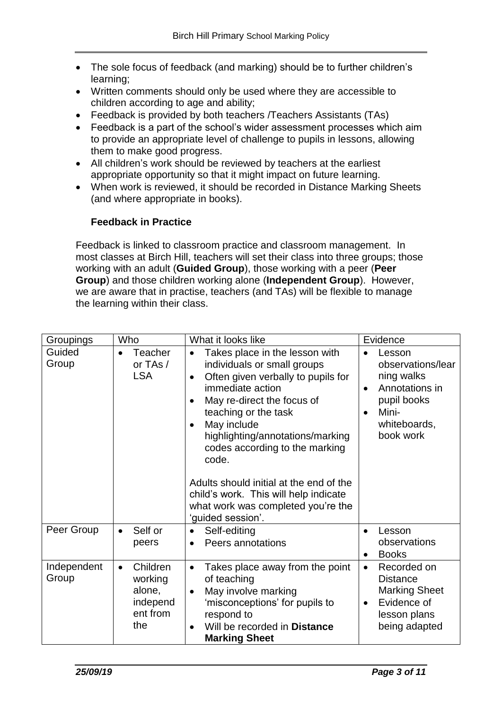- The sole focus of feedback (and marking) should be to further children's learning;
- Written comments should only be used where they are accessible to children according to age and ability;
- Feedback is provided by both teachers /Teachers Assistants (TAs)
- Feedback is a part of the school's wider assessment processes which aim to provide an appropriate level of challenge to pupils in lessons, allowing them to make good progress.
- All children's work should be reviewed by teachers at the earliest appropriate opportunity so that it might impact on future learning.
- When work is reviewed, it should be recorded in Distance Marking Sheets (and where appropriate in books).

#### **Feedback in Practice**

Feedback is linked to classroom practice and classroom management. In most classes at Birch Hill, teachers will set their class into three groups; those working with an adult (**Guided Group**), those working with a peer (**Peer Group**) and those children working alone (**Independent Group**). However, we are aware that in practise, teachers (and TAs) will be flexible to manage the learning within their class.

| Groupings            | Who                                                                       | What it looks like                                                                                                                                                                                                                                                                                                                                                                                                                                                | Evidence                                                                                                                                   |
|----------------------|---------------------------------------------------------------------------|-------------------------------------------------------------------------------------------------------------------------------------------------------------------------------------------------------------------------------------------------------------------------------------------------------------------------------------------------------------------------------------------------------------------------------------------------------------------|--------------------------------------------------------------------------------------------------------------------------------------------|
| Guided<br>Group      | Teacher<br>$\bullet$<br>or TAs /<br><b>LSA</b>                            | Takes place in the lesson with<br>$\bullet$<br>individuals or small groups<br>Often given verbally to pupils for<br>$\bullet$<br>immediate action<br>May re-direct the focus of<br>teaching or the task<br>May include<br>$\bullet$<br>highlighting/annotations/marking<br>codes according to the marking<br>code.<br>Adults should initial at the end of the<br>child's work. This will help indicate<br>what work was completed you're the<br>'guided session'. | Lesson<br>observations/lear<br>ning walks<br>Annotations in<br>$\bullet$<br>pupil books<br>Mini-<br>$\bullet$<br>whiteboards,<br>book work |
| Peer Group           | Self or<br>$\bullet$<br>peers                                             | Self-editing<br>Peers annotations<br>$\bullet$                                                                                                                                                                                                                                                                                                                                                                                                                    | Lesson<br>$\bullet$<br>observations<br><b>Books</b><br>$\bullet$                                                                           |
| Independent<br>Group | Children<br>$\bullet$<br>working<br>alone,<br>independ<br>ent from<br>the | Takes place away from the point<br>$\bullet$<br>of teaching<br>May involve marking<br>$\bullet$<br>'misconceptions' for pupils to<br>respond to<br>Will be recorded in Distance<br><b>Marking Sheet</b>                                                                                                                                                                                                                                                           | Recorded on<br>$\bullet$<br><b>Distance</b><br><b>Marking Sheet</b><br>Evidence of<br>$\bullet$<br>lesson plans<br>being adapted           |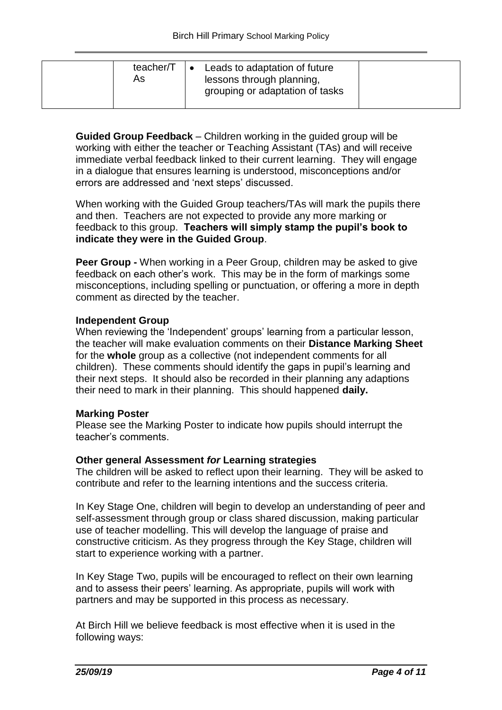| teacher/T<br>AS | Leads to adaptation of future<br>lessons through planning,<br>grouping or adaptation of tasks |  |
|-----------------|-----------------------------------------------------------------------------------------------|--|
|                 |                                                                                               |  |

**Guided Group Feedback** – Children working in the guided group will be working with either the teacher or Teaching Assistant (TAs) and will receive immediate verbal feedback linked to their current learning. They will engage in a dialogue that ensures learning is understood, misconceptions and/or errors are addressed and 'next steps' discussed.

When working with the Guided Group teachers/TAs will mark the pupils there and then. Teachers are not expected to provide any more marking or feedback to this group. **Teachers will simply stamp the pupil's book to indicate they were in the Guided Group**.

**Peer Group -** When working in a Peer Group, children may be asked to give feedback on each other's work. This may be in the form of markings some misconceptions, including spelling or punctuation, or offering a more in depth comment as directed by the teacher.

#### **Independent Group**

When reviewing the 'Independent' groups' learning from a particular lesson, the teacher will make evaluation comments on their **Distance Marking Sheet** for the **whole** group as a collective (not independent comments for all children). These comments should identify the gaps in pupil's learning and their next steps. It should also be recorded in their planning any adaptions their need to mark in their planning. This should happened **daily.** 

#### **Marking Poster**

Please see the Marking Poster to indicate how pupils should interrupt the teacher's comments.

## **Other general Assessment** *for* **Learning strategies**

The children will be asked to reflect upon their learning. They will be asked to contribute and refer to the learning intentions and the success criteria.

In Key Stage One, children will begin to develop an understanding of peer and self-assessment through group or class shared discussion, making particular use of teacher modelling. This will develop the language of praise and constructive criticism. As they progress through the Key Stage, children will start to experience working with a partner.

In Key Stage Two, pupils will be encouraged to reflect on their own learning and to assess their peers' learning. As appropriate, pupils will work with partners and may be supported in this process as necessary.

At Birch Hill we believe feedback is most effective when it is used in the following ways: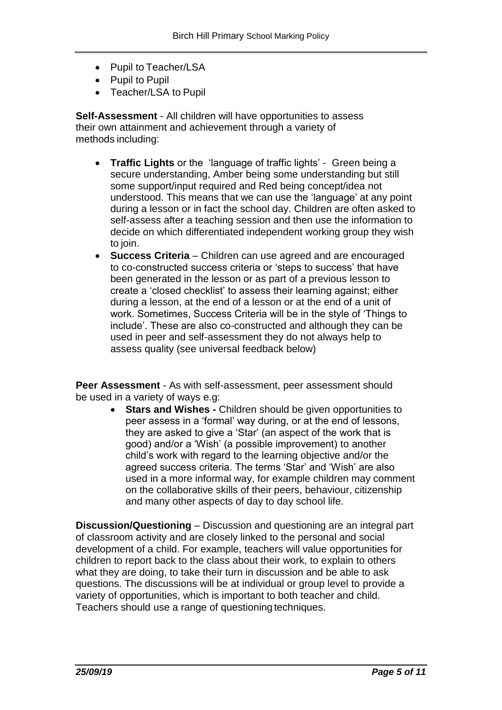- Pupil to Teacher/LSA
- Pupil to Pupil
- Teacher/LSA to Pupil

**Self-Assessment** - All children will have opportunities to assess their own attainment and achievement through a variety of methods including:

- **Traffic Lights** or the 'language of traffic lights' Green being a secure understanding, Amber being some understanding but still some support/input required and Red being concept/idea not understood. This means that we can use the 'language' at any point during a lesson or in fact the school day. Children are often asked to self-assess after a teaching session and then use the information to decide on which differentiated independent working group they wish to join.
- **Success Criteria**  Children can use agreed and are encouraged to co-constructed success criteria or 'steps to success' that have been generated in the lesson or as part of a previous lesson to create a 'closed checklist' to assess their learning against; either during a lesson, at the end of a lesson or at the end of a unit of work. Sometimes, Success Criteria will be in the style of 'Things to include'. These are also co-constructed and although they can be used in peer and self-assessment they do not always help to assess quality (see universal feedback below)

**Peer Assessment** - As with self-assessment, peer assessment should be used in a variety of ways e.g:

> **Stars and Wishes -** Children should be given opportunities to peer assess in a 'formal' way during, or at the end of lessons, they are asked to give a 'Star' (an aspect of the work that is good) and/or a 'Wish' (a possible improvement) to another child's work with regard to the learning objective and/or the agreed success criteria. The terms 'Star' and 'Wish' are also used in a more informal way, for example children may comment on the collaborative skills of their peers, behaviour, citizenship and many other aspects of day to day school life.

**Discussion/Questioning** – Discussion and questioning are an integral part of classroom activity and are closely linked to the personal and social development of a child. For example, teachers will value opportunities for children to report back to the class about their work, to explain to others what they are doing, to take their turn in discussion and be able to ask questions. The discussions will be at individual or group level to provide a variety of opportunities, which is important to both teacher and child. Teachers should use a range of questioning techniques.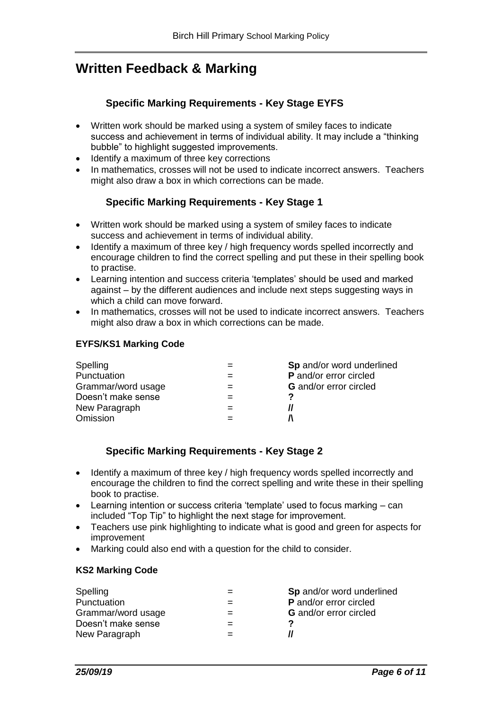## **Written Feedback & Marking**

## **Specific Marking Requirements - Key Stage EYFS**

- Written work should be marked using a system of smiley faces to indicate success and achievement in terms of individual ability. It may include a "thinking bubble" to highlight suggested improvements.
- Identify a maximum of three key corrections
- In mathematics, crosses will not be used to indicate incorrect answers. Teachers might also draw a box in which corrections can be made.

## **Specific Marking Requirements - Key Stage 1**

- Written work should be marked using a system of smiley faces to indicate success and achievement in terms of individual ability.
- Identify a maximum of three key / high frequency words spelled incorrectly and encourage children to find the correct spelling and put these in their spelling book to practise.
- Learning intention and success criteria 'templates' should be used and marked against – by the different audiences and include next steps suggesting ways in which a child can move forward.
- In mathematics, crosses will not be used to indicate incorrect answers. Teachers might also draw a box in which corrections can be made.

#### **EYFS/KS1 Marking Code**

| Spelling           | Sp and/or word underlined     |
|--------------------|-------------------------------|
| Punctuation        | P and/or error circled        |
| Grammar/word usage | <b>G</b> and/or error circled |
| Doesn't make sense | כי                            |
| New Paragraph      |                               |
| Omission           |                               |

## **Specific Marking Requirements - Key Stage 2**

- Identify a maximum of three key / high frequency words spelled incorrectly and encourage the children to find the correct spelling and write these in their spelling book to practise.
- Learning intention or success criteria 'template' used to focus marking can included "Top Tip" to highlight the next stage for improvement.
- Teachers use pink highlighting to indicate what is good and green for aspects for improvement
- Marking could also end with a question for the child to consider.

#### **KS2 Marking Code**

| Spelling           |     | Sp and/or word underlined     |
|--------------------|-----|-------------------------------|
| Punctuation        |     | <b>P</b> and/or error circled |
| Grammar/word usage |     | <b>G</b> and/or error circled |
| Doesn't make sense |     |                               |
| New Paragraph      | $=$ |                               |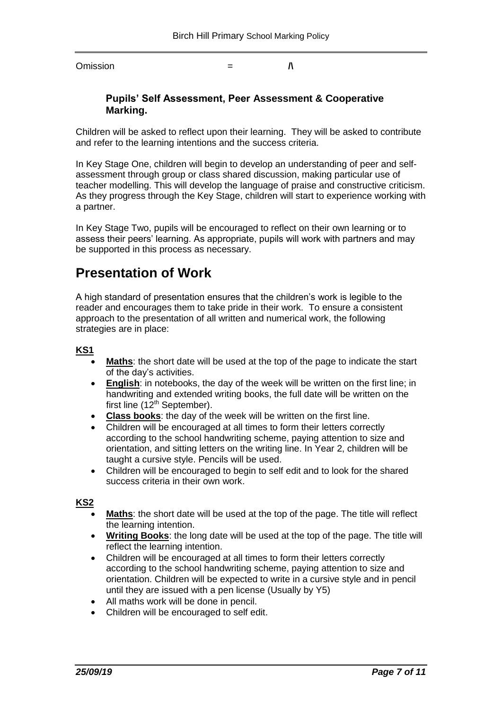$O$ mission  $=$   $\Lambda$ 

#### **Pupils' Self Assessment, Peer Assessment & Cooperative Marking.**

Children will be asked to reflect upon their learning. They will be asked to contribute and refer to the learning intentions and the success criteria.

In Key Stage One, children will begin to develop an understanding of peer and selfassessment through group or class shared discussion, making particular use of teacher modelling. This will develop the language of praise and constructive criticism. As they progress through the Key Stage, children will start to experience working with a partner.

In Key Stage Two, pupils will be encouraged to reflect on their own learning or to assess their peers' learning. As appropriate, pupils will work with partners and may be supported in this process as necessary.

## **Presentation of Work**

A high standard of presentation ensures that the children's work is legible to the reader and encourages them to take pride in their work. To ensure a consistent approach to the presentation of all written and numerical work, the following strategies are in place:

#### **KS1**

- **Maths**: the short date will be used at the top of the page to indicate the start of the day's activities.
- **English**: in notebooks, the day of the week will be written on the first line; in handwriting and extended writing books, the full date will be written on the first line (12<sup>th</sup> September).
- **Class books**: the day of the week will be written on the first line.
- Children will be encouraged at all times to form their letters correctly according to the school handwriting scheme, paying attention to size and orientation, and sitting letters on the writing line. In Year 2, children will be taught a cursive style. Pencils will be used.
- Children will be encouraged to begin to self edit and to look for the shared success criteria in their own work.

#### **KS2**

- **Maths**: the short date will be used at the top of the page. The title will reflect the learning intention.
- **Writing Books**: the long date will be used at the top of the page. The title will reflect the learning intention.
- Children will be encouraged at all times to form their letters correctly according to the school handwriting scheme, paying attention to size and orientation. Children will be expected to write in a cursive style and in pencil until they are issued with a pen license (Usually by Y5)
- All maths work will be done in pencil.
- Children will be encouraged to self edit.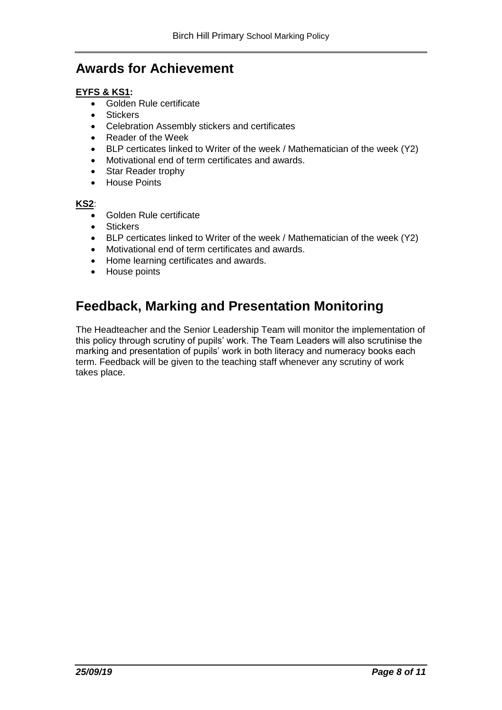## **Awards for Achievement**

#### **EYFS & KS1:**

- Golden Rule certificate
- Stickers
- Celebration Assembly stickers and certificates
- Reader of the Week
- BLP certicates linked to Writer of the week / Mathematician of the week (Y2)
- Motivational end of term certificates and awards.
- Star Reader trophy
- House Points

#### **KS2**:

- Golden Rule certificate
- Stickers
- BLP certicates linked to Writer of the week / Mathematician of the week (Y2)
- Motivational end of term certificates and awards.
- Home learning certificates and awards.
- House points

## **Feedback, Marking and Presentation Monitoring**

The Headteacher and the Senior Leadership Team will monitor the implementation of this policy through scrutiny of pupils' work. The Team Leaders will also scrutinise the marking and presentation of pupils' work in both literacy and numeracy books each term. Feedback will be given to the teaching staff whenever any scrutiny of work takes place.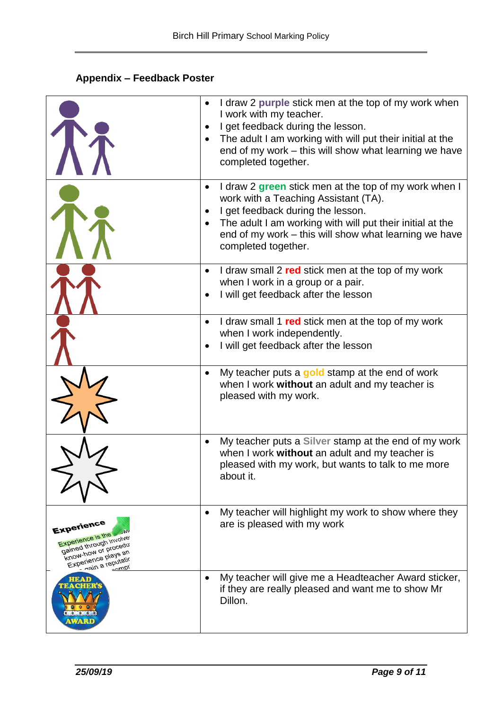## **Appendix – Feedback Poster**

|                                                                                                                                            | I draw 2 purple stick men at the top of my work when<br>$\bullet$                                                                                                                      |
|--------------------------------------------------------------------------------------------------------------------------------------------|----------------------------------------------------------------------------------------------------------------------------------------------------------------------------------------|
|                                                                                                                                            | I work with my teacher.<br>I get feedback during the lesson.<br>$\bullet$                                                                                                              |
|                                                                                                                                            | The adult I am working with will put their initial at the<br>end of my work - this will show what learning we have<br>completed together.                                              |
|                                                                                                                                            | I draw 2 green stick men at the top of my work when I<br>$\bullet$<br>work with a Teaching Assistant (TA).                                                                             |
|                                                                                                                                            | I get feedback during the lesson.<br>$\bullet$                                                                                                                                         |
|                                                                                                                                            | The adult I am working with will put their initial at the<br>$\bullet$<br>end of my work – this will show what learning we have<br>completed together.                                 |
|                                                                                                                                            | I draw small 2 red stick men at the top of my work<br>$\bullet$                                                                                                                        |
|                                                                                                                                            | when I work in a group or a pair.<br>I will get feedback after the lesson                                                                                                              |
|                                                                                                                                            | I draw small 1 red stick men at the top of my work<br>$\bullet$<br>when I work independently.                                                                                          |
|                                                                                                                                            | I will get feedback after the lesson                                                                                                                                                   |
|                                                                                                                                            | My teacher puts a gold stamp at the end of work<br>$\bullet$<br>when I work without an adult and my teacher is<br>pleased with my work.                                                |
|                                                                                                                                            | My teacher puts a Silver stamp at the end of my work<br>$\bullet$<br>when I work without an adult and my teacher is<br>pleased with my work, but wants to talk to me more<br>about it. |
| Experience<br><b>MV</b><br>Experience is the<br>gained through involve<br>Know-how or procedur<br>Experience plays an<br>nain a reputation | My teacher will highlight my work to show where they<br>$\bullet$<br>are is pleased with my work                                                                                       |
| <b>HEAD</b><br><b>TEACHER'S</b><br>$\begin{array}{ccccccccccccccccc} 0 & 0 & 0 & 0 & 0 & 0 \end{array}$<br><b>AWARD</b>                    | My teacher will give me a Headteacher Award sticker,<br>$\bullet$<br>if they are really pleased and want me to show Mr<br>Dillon.                                                      |